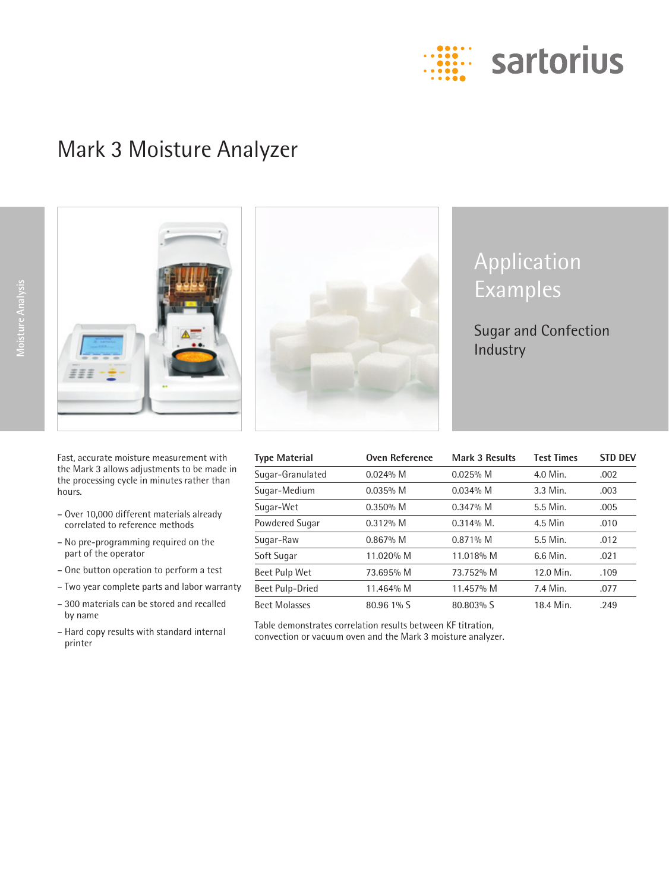

# Mark 3 Moisture Analyzer



Fast, accurate moisture measurement with the Mark 3 allows adjustments to be made in the processing cycle in minutes rather than hours.

- Over 10,000 different materials already correlated to reference methods
- No pre-programming required on the part of the operator
- One button operation to perform a test
- Two year complete parts and labor warranty
- 300 materials can be stored and recalled by name
- Hard copy results with standard internal printer



# Application Examples

Sugar and Confection Industry

| Type Material        | Oven Reference | <b>Mark 3 Results</b> | <b>Test Times</b> | <b>STD DEV</b> |
|----------------------|----------------|-----------------------|-------------------|----------------|
| Sugar-Granulated     | $0.024\%$ M    | $0.025%$ M            | 4.0 Min.          | .002           |
| Sugar-Medium         | $0.035\%$ M    | $0.034\%$ M           | 3.3 Min.          | .003           |
| Sugar-Wet            | $0.350\%$ M    | $0.347\%$ M           | 5.5 Min.          | .005           |
| Powdered Sugar       | $0.312\%$ M    | $0.314\%$ M.          | 4.5 Min           | .010           |
| Sugar-Raw            | $0.867\%$ M    | $0.871\%$ M           | 5.5 Min.          | .012           |
| Soft Sugar           | 11.020% M      | 11.018% M             | 6.6 Min.          | .021           |
| Beet Pulp Wet        | 73.695% M      | 73.752% M             | 12.0 Min.         | .109           |
| Beet Pulp-Dried      | 11.464% M      | 11.457% M             | 7.4 Min.          | .077           |
| <b>Beet Molasses</b> | 80.96 1% S     | 80.803% S             | 18.4 Min.         | .249           |

Table demonstrates correlation results between KF titration, convection or vacuum oven and the Mark 3 moisture analyzer.